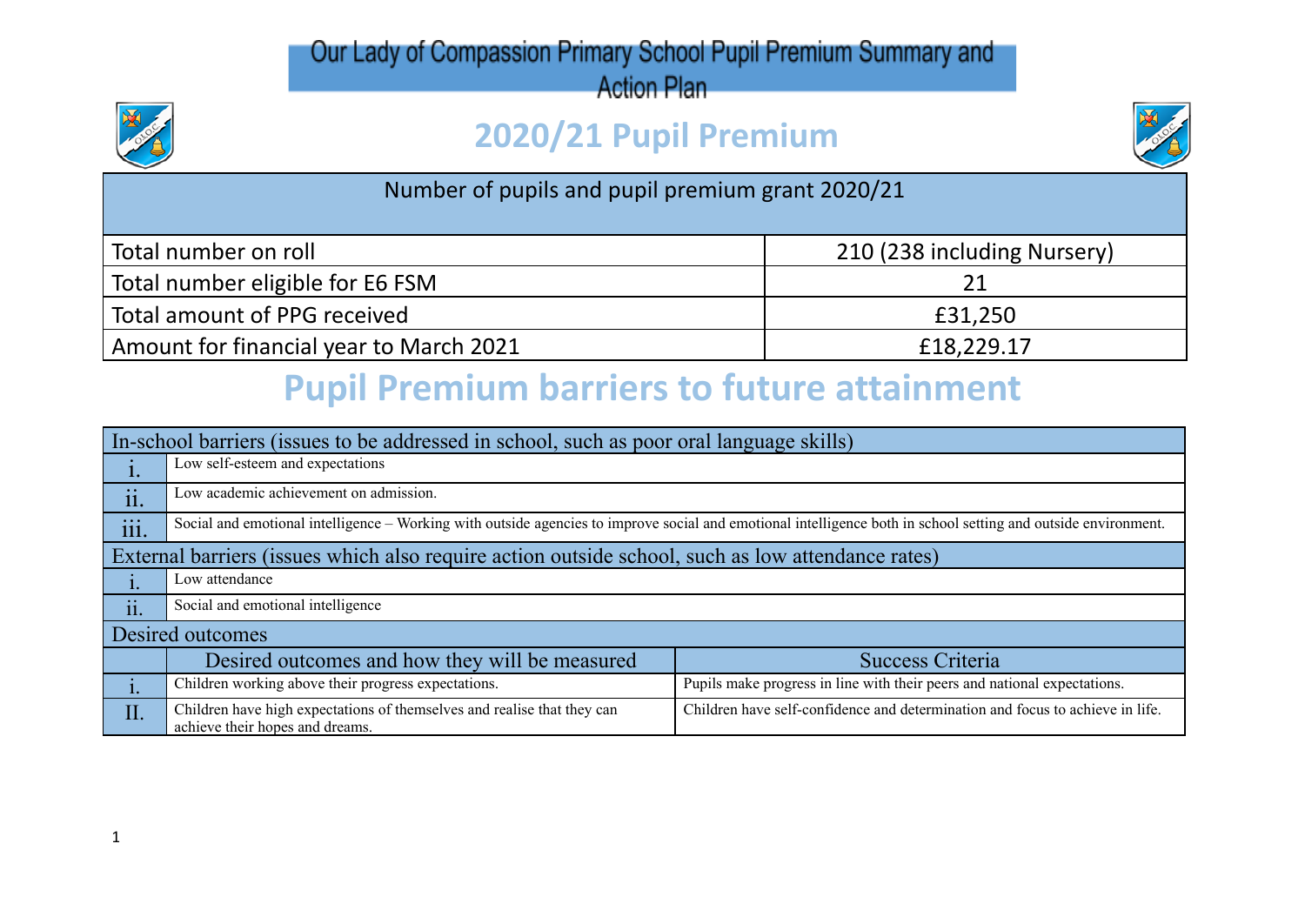### Our Lady of Compassion Primary School Pupil Premium Summary and

**Action Plan** 

# **2020/21 Pupil Premium**



#### Number of pupils and pupil premium grant 2020/21

| Total number on roll                    | 210 (238 including Nursery) |
|-----------------------------------------|-----------------------------|
| Total number eligible for E6 FSM        |                             |
| Total amount of PPG received            | £31,250                     |
| Amount for financial year to March 2021 | £18,229.17                  |

# **Pupil Premium barriers to future attainment**

| In-school barriers (issues to be addressed in school, such as poor oral language skills)          |                                                                                                                                                                |                                                                               |  |  |
|---------------------------------------------------------------------------------------------------|----------------------------------------------------------------------------------------------------------------------------------------------------------------|-------------------------------------------------------------------------------|--|--|
| ı.                                                                                                | Low self-esteem and expectations                                                                                                                               |                                                                               |  |  |
| $\bullet$<br>11.                                                                                  | Low academic achievement on admission.                                                                                                                         |                                                                               |  |  |
| $\dddot{\mathbf{m}}$ .                                                                            | Social and emotional intelligence – Working with outside agencies to improve social and emotional intelligence both in school setting and outside environment. |                                                                               |  |  |
| External barriers (issues which also require action outside school, such as low attendance rates) |                                                                                                                                                                |                                                                               |  |  |
|                                                                                                   | Low attendance                                                                                                                                                 |                                                                               |  |  |
| ii.                                                                                               | Social and emotional intelligence                                                                                                                              |                                                                               |  |  |
| Desired outcomes                                                                                  |                                                                                                                                                                |                                                                               |  |  |
|                                                                                                   | Desired outcomes and how they will be measured                                                                                                                 | Success Criteria                                                              |  |  |
|                                                                                                   | Children working above their progress expectations.                                                                                                            | Pupils make progress in line with their peers and national expectations.      |  |  |
| II.                                                                                               | Children have high expectations of themselves and realise that they can<br>achieve their hopes and dreams.                                                     | Children have self-confidence and determination and focus to achieve in life. |  |  |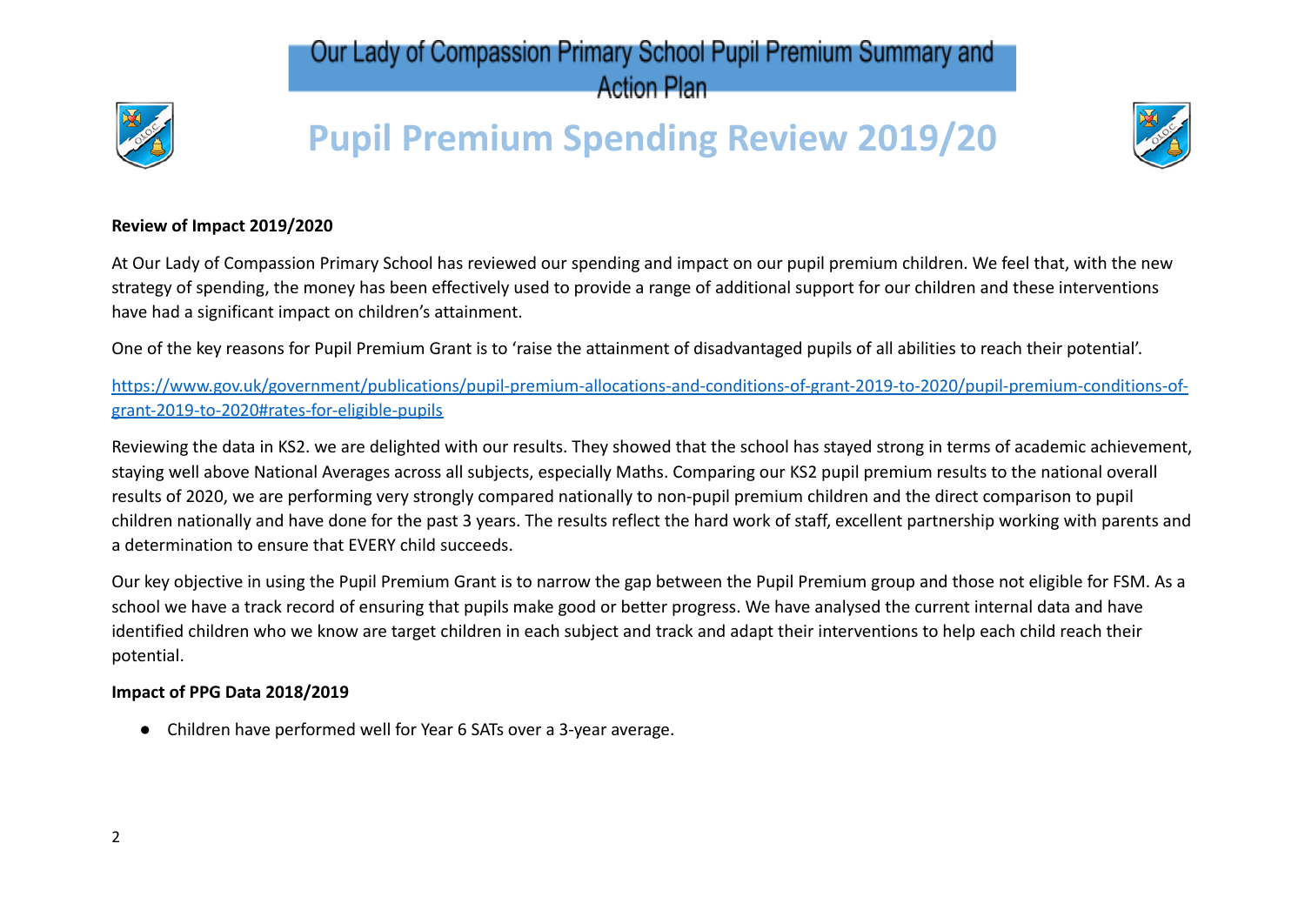#### Our Lady of Compassion Primary School Pupil Premium Summary and **Action Plan**



# **Pupil Premium Spending Review 2019/20**



#### **Review of Impact 2019/2020**

At Our Lady of Compassion Primary School has reviewed our spending and impact on our pupil premium children. We feel that, with the new strategy of spending, the money has been effectively used to provide a range of additional support for our children and these interventions have had a significant impact on children's attainment.

One of the key reasons for Pupil Premium Grant is to 'raise the attainment of disadvantaged pupils of all abilities to reach their potential'.

[https://www.gov.uk/government/publications/pupil-premium-allocations-and-conditions-of-grant-2019-to-2020/pupil-premium-conditions-of](https://www.gov.uk/government/publications/pupil-premium-allocations-and-conditions-of-grant-2019-to-2020/pupil-premium-conditions-of-grant-2019-to-2020#rates-for-eligible-pupils)[grant-2019-to-2020#rates-for-eligible-pupils](https://www.gov.uk/government/publications/pupil-premium-allocations-and-conditions-of-grant-2019-to-2020/pupil-premium-conditions-of-grant-2019-to-2020#rates-for-eligible-pupils)

Reviewing the data in KS2. we are delighted with our results. They showed that the school has stayed strong in terms of academic achievement, staying well above National Averages across all subjects, especially Maths. Comparing our KS2 pupil premium results to the national overall results of 2020, we are performing very strongly compared nationally to non-pupil premium children and the direct comparison to pupil children nationally and have done for the past 3 years. The results reflect the hard work of staff, excellent partnership working with parents and a determination to ensure that EVERY child succeeds.

Our key objective in using the Pupil Premium Grant is to narrow the gap between the Pupil Premium group and those not eligible for FSM. As a school we have a track record of ensuring that pupils make good or better progress. We have analysed the current internal data and have identified children who we know are target children in each subject and track and adapt their interventions to help each child reach their potential.

#### **Impact of PPG Data 2018/2019**

● Children have performed well for Year 6 SATs over a 3-year average.